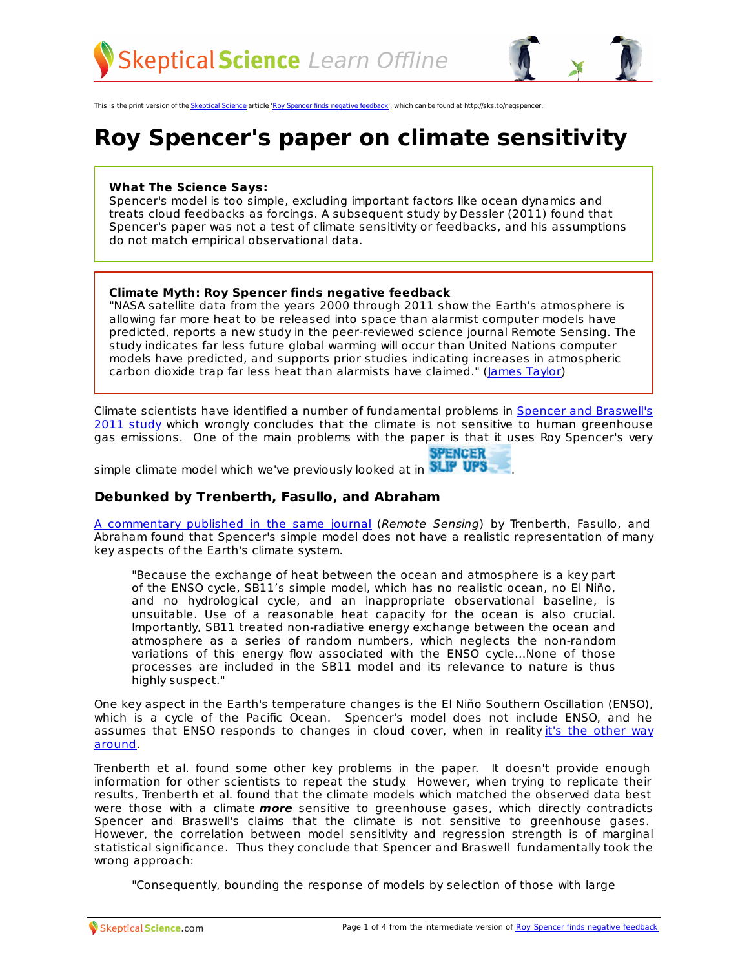

This is the print version of the [Skeptical](http://skepticalscience.com) Science article 'Roy Spencer finds negative [feedback](http://skepticalscience.com/roy-spencer-negative-feedback-climate-sensitivity.htm)', which can be found at http://sks.to/negspencer.

# **Roy Spencer's paper on climate sensitivity**

#### **What The Science Says:**

Spencer's model is too simple, excluding important factors like ocean dynamics and treats cloud feedbacks as forcings. A subsequent study by Dessler (2011) found that Spencer's paper was not a test of climate sensitivity or feedbacks, and his assumptions do not match empirical observational data.

#### **Climate Myth: Roy Spencer finds negative feedback**

"NASA satellite data from the years 2000 through 2011 show the Earth's atmosphere is allowing far more heat to be released into space than alarmist computer models have predicted, reports a new study in the peer-reviewed science journal Remote Sensing. The study indicates far less future global warming will occur than United Nations computer models have predicted, and supports prior studies indicating increases in atmospheric carbon dioxide trap far less heat than alarmists have claimed." [\(James](http://news.yahoo.com/nasa-data-blow-gaping-hold-global-warming-alarmism-192334971.html) Taylor)

Climate scientists have identified a number of [fundamental](http://www.mdpi.com/2072-4292/3/8/1603/pdf) problems in Spencer and Braswell's 2011 study which wrongly concludes that the climate is not sensitive to human greenhouse gas emissions. One of the main problems with the paper is that it uses Roy Spencer's very

| ENCER |  |  |
|-------|--|--|
|       |  |  |

simple climate model which we've previously looked at in **NLIP UPS**.

### **Debunked by Trenberth, Fasullo, and Abraham**

A [commentary](http://www.mdpi.com/2072-4292/3/9/2051/pdf) published in the same journal (Remote Sensing) by Trenberth, Fasullo, and Abraham found that Spencer's simple model does not have a realistic representation of many key aspects of the Earth's climate system.

"Because the exchange of heat between the ocean and atmosphere is a key part of the ENSO cycle, SB11's simple model, which has no realistic ocean, no El Niño, and no hydrological cycle, and an inappropriate observational baseline, is unsuitable. Use of a reasonable heat capacity for the ocean is also crucial. Importantly, SB11 treated non-radiative energy exchange between the ocean and atmosphere as a series of random numbers, which neglects the non-random variations of this energy flow associated with the ENSO cycle...None of those processes are included in the SB11 model and its relevance to nature is thus highly suspect."

One key aspect in the Earth's temperature changes is the El Niño Southern Oscillation (ENSO), which is a cycle of the Pacific Ocean. Spencer's model does not include ENSO, and he assumes that ENSO [responds](http://www.cgd.ucar.edu/cas/Trenberth/trenberth.papers/TFOW_LC_GRL2010_GL042314.pdf) to changes in cloud cover, when in reality it's the other way around.

Trenberth et al. found some other key problems in the paper. It doesn't provide enough information for other scientists to repeat the study. However, when trying to replicate their results, Trenberth et al. found that the climate models which matched the observed data best were those with a climate **more** sensitive to greenhouse gases, which directly contradicts Spencer and Braswell's claims that the climate is not sensitive to greenhouse gases. However, the correlation between model sensitivity and regression strength is of marginal statistical significance. Thus they conclude that Spencer and Braswell fundamentally took the wrong approach:

"Consequently, bounding the response of models by selection of [those](http://skepticalscience.com/roy-spencer-negative-feedback-climate-sensitivity.htm) with large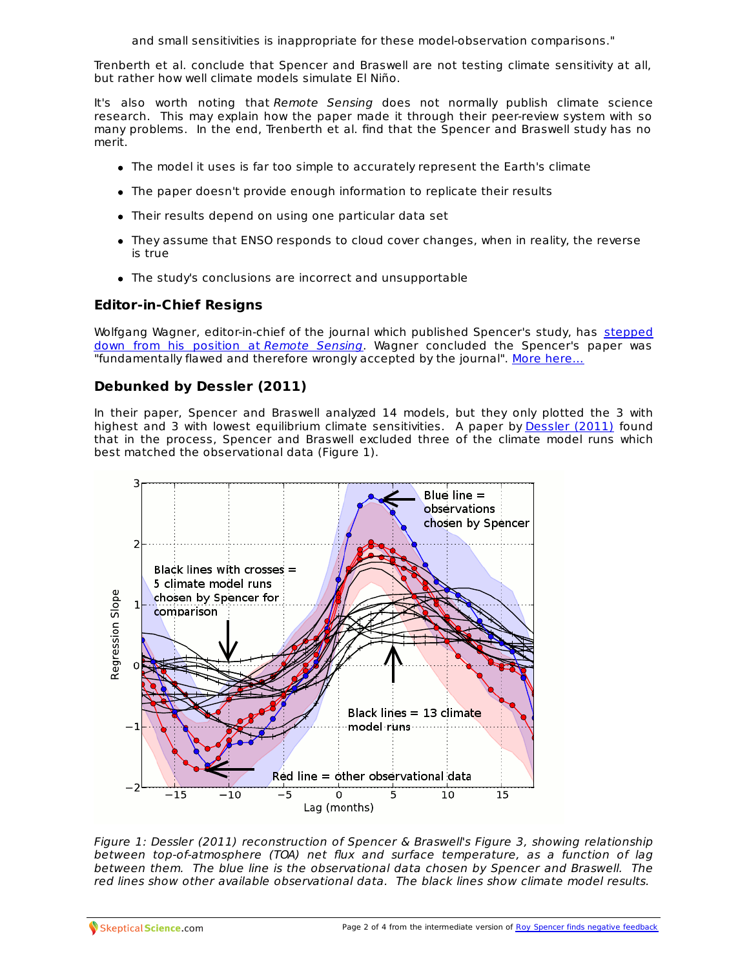and small sensitivities is inappropriate for these model-observation comparisons."

Trenberth et al. conclude that Spencer and Braswell are not testing climate sensitivity at all, but rather how well climate models simulate El Niño.

It's also worth noting that Remote Sensing does not normally publish climate science research. This may explain how the paper made it through their peer-review system with so many problems. In the end, Trenberth et al. find that the Spencer and Braswell study has no merit.

- The model it uses is far too simple to accurately represent the Earth's climate
- The paper doesn't provide enough information to replicate their results
- Their results depend on using one particular data set
- They assume that ENSO responds to cloud cover changes, when in reality, the reverse is true
- The study's conclusions are incorrect and unsupportable

## **Editor-in-Chief Resigns**

Wolfgang Wagner, [editor-in-chief](http://www.mdpi.com/2072-4292/3/9/2002/pdf) of the journal which published Spencer's study, has stepped down from his position at Remote Sensing. Wagner concluded the Spencer's paper was "fundamentally flawed and therefore wrongly accepted by the journal". More [here...](http://www.skepticalscience.com/Journal-editor-resigns-over-fundamentally-flawed-paper-Roy-Spencer.html)

## **Debunked by Dessler (2011)**

In their paper, Spencer and Braswell analyzed 14 models, but they only plotted the 3 with highest and 3 with lowest equilibrium climate sensitivities. A paper by [Dessler](http://www.agu.org/pubs/crossref/pip/2011GL049236.shtml) (2011) found that in the process, Spencer and Braswell excluded three of the climate model runs which best matched the observational data (Figure 1).



Figure 1: Dessler (2011) reconstruction of Spencer & Braswell's Figure 3, showing relationship between top-of-atmosphere (TOA) net flux and surface temperature, as a function of lag between them. The blue line is the observational data chosen by Spencer and Braswell. The red lines show other available observational data. The black lines show climate model results.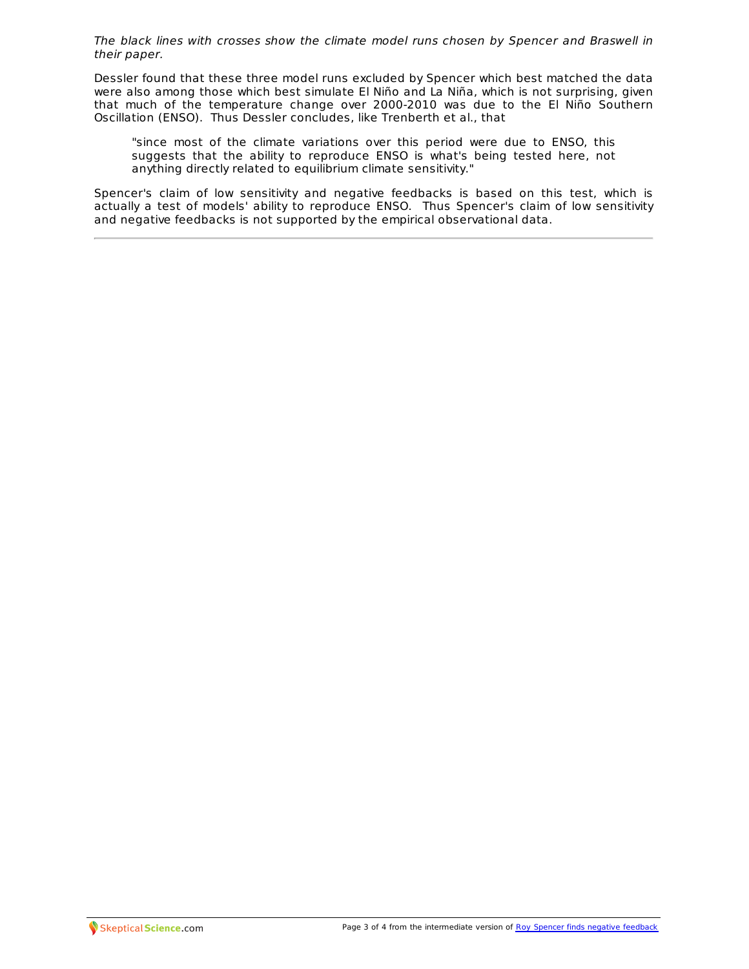The black lines with crosses show the climate model runs chosen by Spencer and Braswell in their paper.

Dessler found that these three model runs excluded by Spencer which best matched the data were also among those which best simulate El Niño and La Niña, which is not surprising, given that much of the temperature change over 2000-2010 was due to the El Niño Southern Oscillation (ENSO). Thus Dessler concludes, like Trenberth et al., that

"since most of the climate variations over this period were due to ENSO, this suggests that the ability to reproduce ENSO is what's being tested here, not anything directly related to equilibrium climate sensitivity."

Spencer's claim of low sensitivity and negative feedbacks is based on this test, which is actually a test of models' ability to reproduce ENSO. Thus Spencer's claim of low sensitivity and negative feedbacks is not supported by the empirical observational data.